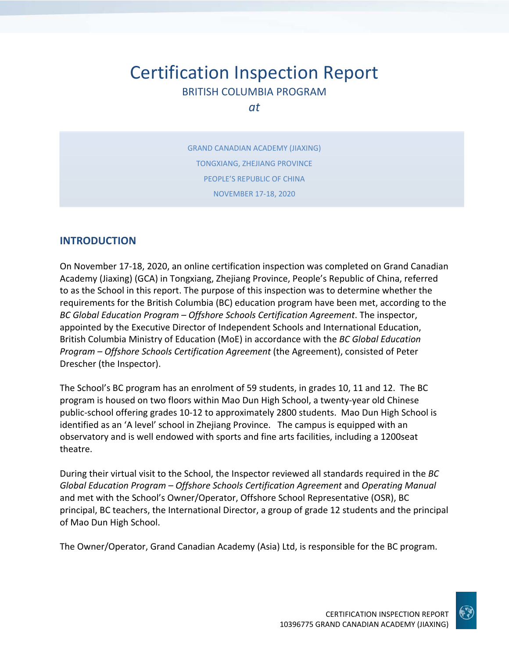# Certification Inspection Report BRITISH COLUMBIA PROGRAM

*at*

GRAND CANADIAN ACADEMY (JIAXING) TONGXIANG, ZHEJIANG PROVINCE PEOPLE'S REPUBLIC OF CHINA NOVEMBER 17‐18, 2020

#### **INTRODUCTION**

On November 17‐18, 2020, an online certification inspection was completed on Grand Canadian Academy (Jiaxing) (GCA) in Tongxiang, Zhejiang Province, People's Republic of China, referred to as the School in this report. The purpose of this inspection was to determine whether the requirements for the British Columbia (BC) education program have been met, according to the *BC Global Education Program – Offshore Schools Certification Agreement*. The inspector, appointed by the Executive Director of Independent Schools and International Education, British Columbia Ministry of Education (MoE) in accordance with the *BC Global Education Program – Offshore Schools Certification Agreement* (the Agreement), consisted of Peter Drescher (the Inspector).

The School's BC program has an enrolment of 59 students, in grades 10, 11 and 12. The BC program is housed on two floors within Mao Dun High School, a twenty‐year old Chinese public‐school offering grades 10‐12 to approximately 2800 students. Mao Dun High School is identified as an 'A level' school in Zhejiang Province. The campus is equipped with an observatory and is well endowed with sports and fine arts facilities, including a 1200seat theatre.

During their virtual visit to the School, the Inspector reviewed all standards required in the *BC Global Education Program – Offshore Schools Certification Agreement* and *Operating Manual* and met with the School's Owner/Operator, Offshore School Representative (OSR), BC principal, BC teachers, the International Director, a group of grade 12 students and the principal of Mao Dun High School.

The Owner/Operator, Grand Canadian Academy (Asia) Ltd, is responsible for the BC program.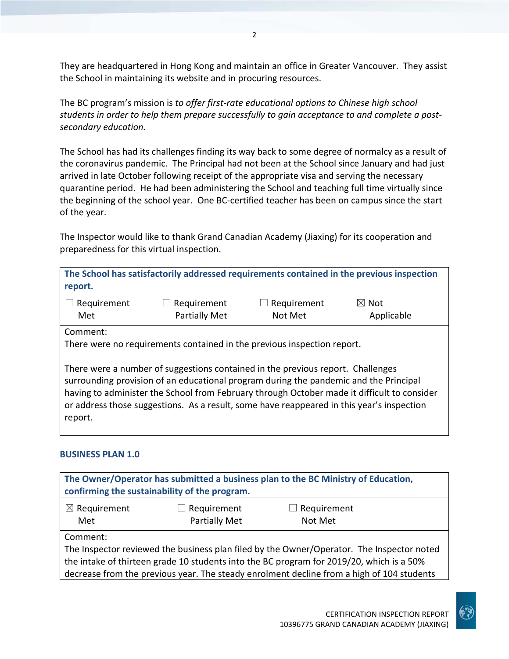They are headquartered in Hong Kong and maintain an office in Greater Vancouver. They assist the School in maintaining its website and in procuring resources.

The BC program's mission is *to offer first‐rate educational options to Chinese high school students in order to help them prepare successfully to gain acceptance to and complete a post‐ secondary education.*

The School has had its challenges finding its way back to some degree of normalcy as a result of the coronavirus pandemic. The Principal had not been at the School since January and had just arrived in late October following receipt of the appropriate visa and serving the necessary quarantine period. He had been administering the School and teaching full time virtually since the beginning of the school year. One BC‐certified teacher has been on campus since the start of the year.

The Inspector would like to thank Grand Canadian Academy (Jiaxing) for its cooperation and preparedness for this virtual inspection.

**The School has satisfactorily addressed requirements contained in the previous inspection report.**

| $\Box$ Requirement | $\Box$ Requirement | $\Box$ Requirement | $\boxtimes$ Not |
|--------------------|--------------------|--------------------|-----------------|
| Met                | Partially Met      | Not Met            | Applicable      |

Comment:

There were no requirements contained in the previous inspection report.

There were a number of suggestions contained in the previous report. Challenges surrounding provision of an educational program during the pandemic and the Principal having to administer the School from February through October made it difficult to consider or address those suggestions. As a result, some have reappeared in this year's inspection report.

#### **BUSINESS PLAN 1.0**

| The Owner/Operator has submitted a business plan to the BC Ministry of Education,<br>confirming the sustainability of the program. |               |                    |  |
|------------------------------------------------------------------------------------------------------------------------------------|---------------|--------------------|--|
| $\boxtimes$ Requirement                                                                                                            | Requirement   | $\Box$ Requirement |  |
| Met                                                                                                                                | Partially Met | Not Met            |  |
| Comment:                                                                                                                           |               |                    |  |
| The Inspector reviewed the business plan filed by the Owner/Operator. The Inspector noted                                          |               |                    |  |
| the intake of thirteen grade 10 students into the BC program for 2019/20, which is a 50%                                           |               |                    |  |
| decrease from the previous year. The steady enrolment decline from a high of 104 students                                          |               |                    |  |

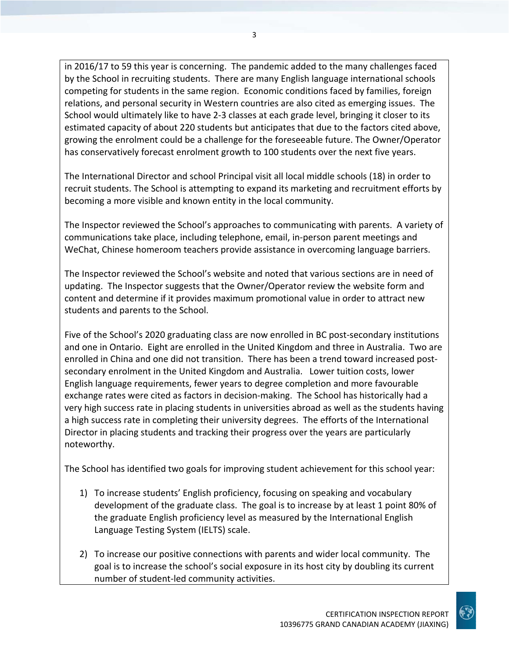in 2016/17 to 59 this year is concerning. The pandemic added to the many challenges faced by the School in recruiting students. There are many English language international schools competing for students in the same region. Economic conditions faced by families, foreign relations, and personal security in Western countries are also cited as emerging issues. The School would ultimately like to have 2‐3 classes at each grade level, bringing it closer to its estimated capacity of about 220 students but anticipates that due to the factors cited above, growing the enrolment could be a challenge for the foreseeable future. The Owner/Operator has conservatively forecast enrolment growth to 100 students over the next five years.

The International Director and school Principal visit all local middle schools (18) in order to recruit students. The School is attempting to expand its marketing and recruitment efforts by becoming a more visible and known entity in the local community.

The Inspector reviewed the School's approaches to communicating with parents. A variety of communications take place, including telephone, email, in‐person parent meetings and WeChat, Chinese homeroom teachers provide assistance in overcoming language barriers.

The Inspector reviewed the School's website and noted that various sections are in need of updating. The Inspector suggests that the Owner/Operator review the website form and content and determine if it provides maximum promotional value in order to attract new students and parents to the School.

Five of the School's 2020 graduating class are now enrolled in BC post-secondary institutions and one in Ontario. Eight are enrolled in the United Kingdom and three in Australia. Two are enrolled in China and one did not transition. There has been a trend toward increased postsecondary enrolment in the United Kingdom and Australia. Lower tuition costs, lower English language requirements, fewer years to degree completion and more favourable exchange rates were cited as factors in decision‐making. The School has historically had a very high success rate in placing students in universities abroad as well as the students having a high success rate in completing their university degrees. The efforts of the International Director in placing students and tracking their progress over the years are particularly noteworthy.

The School has identified two goals for improving student achievement for this school year:

- 1) To increase students' English proficiency, focusing on speaking and vocabulary development of the graduate class. The goal is to increase by at least 1 point 80% of the graduate English proficiency level as measured by the International English Language Testing System (IELTS) scale.
- 2) To increase our positive connections with parents and wider local community. The goal is to increase the school's social exposure in its host city by doubling its current number of student‐led community activities.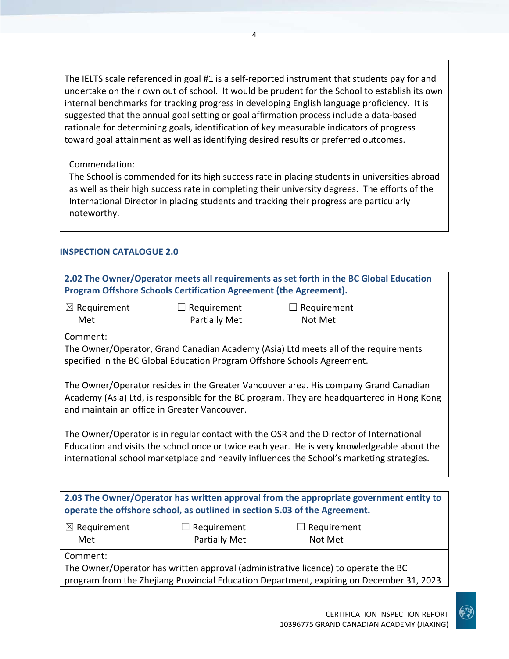The IELTS scale referenced in goal #1 is a self-reported instrument that students pay for and undertake on their own out of school. It would be prudent for the School to establish its own internal benchmarks for tracking progress in developing English language proficiency. It is suggested that the annual goal setting or goal affirmation process include a data‐based rationale for determining goals, identification of key measurable indicators of progress toward goal attainment as well as identifying desired results or preferred outcomes.

4

Commendation:

The School is commended for its high success rate in placing students in universities abroad as well as their high success rate in completing their university degrees. The efforts of the International Director in placing students and tracking their progress are particularly noteworthy.

#### **INSPECTION CATALOGUE 2.0**

|                                                                                                                                                                                                                                                                                      | Program Offshore Schools Certification Agreement (the Agreement).                                                                                               | 2.02 The Owner/Operator meets all requirements as set forth in the BC Global Education                                                                                         |  |  |
|--------------------------------------------------------------------------------------------------------------------------------------------------------------------------------------------------------------------------------------------------------------------------------------|-----------------------------------------------------------------------------------------------------------------------------------------------------------------|--------------------------------------------------------------------------------------------------------------------------------------------------------------------------------|--|--|
| $\boxtimes$ Requirement<br>Met                                                                                                                                                                                                                                                       | Requirement<br>$\perp$<br><b>Partially Met</b>                                                                                                                  | $\Box$ Requirement<br>Not Met                                                                                                                                                  |  |  |
| Comment:                                                                                                                                                                                                                                                                             | The Owner/Operator, Grand Canadian Academy (Asia) Ltd meets all of the requirements<br>specified in the BC Global Education Program Offshore Schools Agreement. |                                                                                                                                                                                |  |  |
| The Owner/Operator resides in the Greater Vancouver area. His company Grand Canadian<br>Academy (Asia) Ltd, is responsible for the BC program. They are headquartered in Hong Kong<br>and maintain an office in Greater Vancouver.                                                   |                                                                                                                                                                 |                                                                                                                                                                                |  |  |
| The Owner/Operator is in regular contact with the OSR and the Director of International<br>Education and visits the school once or twice each year. He is very knowledgeable about the<br>international school marketplace and heavily influences the School's marketing strategies. |                                                                                                                                                                 |                                                                                                                                                                                |  |  |
|                                                                                                                                                                                                                                                                                      |                                                                                                                                                                 | 2.03 The Owner/Operator has written approval from the appropriate government entity to                                                                                         |  |  |
| $\boxtimes$ Requirement                                                                                                                                                                                                                                                              | operate the offshore school, as outlined in section 5.03 of the Agreement.<br>Requirement                                                                       | $\Box$ Requirement                                                                                                                                                             |  |  |
| Met                                                                                                                                                                                                                                                                                  | Partially Met                                                                                                                                                   | Not Met                                                                                                                                                                        |  |  |
| Comment:                                                                                                                                                                                                                                                                             |                                                                                                                                                                 | The Owner/Operator has written approval (administrative licence) to operate the BC<br>program from the Zhejiang Provincial Education Department, expiring on December 31, 2023 |  |  |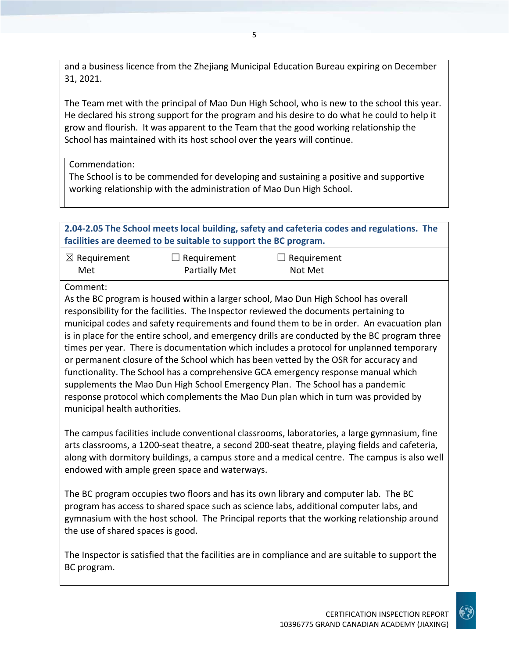and a business licence from the Zhejiang Municipal Education Bureau expiring on December 31, 2021.

The Team met with the principal of Mao Dun High School, who is new to the school this year. He declared his strong support for the program and his desire to do what he could to help it grow and flourish. It was apparent to the Team that the good working relationship the School has maintained with its host school over the years will continue.

Commendation:

The School is to be commended for developing and sustaining a positive and supportive working relationship with the administration of Mao Dun High School.

|                                           | facilities are deemed to be suitable to support the BC program. | 2.04-2.05 The School meets local building, safety and cafeteria codes and regulations. The                                                                                                                                                                                                                                                                                                                                                                                                                                                                                                                                                                                                                                                                                                                                 |  |
|-------------------------------------------|-----------------------------------------------------------------|----------------------------------------------------------------------------------------------------------------------------------------------------------------------------------------------------------------------------------------------------------------------------------------------------------------------------------------------------------------------------------------------------------------------------------------------------------------------------------------------------------------------------------------------------------------------------------------------------------------------------------------------------------------------------------------------------------------------------------------------------------------------------------------------------------------------------|--|
| $\boxtimes$ Requirement<br>Met            | Requirement<br>Partially Met                                    | Requirement<br>Not Met                                                                                                                                                                                                                                                                                                                                                                                                                                                                                                                                                                                                                                                                                                                                                                                                     |  |
| Comment:<br>municipal health authorities. |                                                                 | As the BC program is housed within a larger school, Mao Dun High School has overall<br>responsibility for the facilities. The Inspector reviewed the documents pertaining to<br>municipal codes and safety requirements and found them to be in order. An evacuation plan<br>is in place for the entire school, and emergency drills are conducted by the BC program three<br>times per year. There is documentation which includes a protocol for unplanned temporary<br>or permanent closure of the School which has been vetted by the OSR for accuracy and<br>functionality. The School has a comprehensive GCA emergency response manual which<br>supplements the Mao Dun High School Emergency Plan. The School has a pandemic<br>response protocol which complements the Mao Dun plan which in turn was provided by |  |
|                                           | endowed with ample green space and waterways.                   | The campus facilities include conventional classrooms, laboratories, a large gymnasium, fine<br>arts classrooms, a 1200-seat theatre, a second 200-seat theatre, playing fields and cafeteria,<br>along with dormitory buildings, a campus store and a medical centre. The campus is also well                                                                                                                                                                                                                                                                                                                                                                                                                                                                                                                             |  |
|                                           |                                                                 | The BC program occupies two floors and has its own library and computer lab. The BC<br>program has access to shared space such as science labs, additional computer labs, and<br>gymnasium with the host school. The Principal reports that the working relationship around                                                                                                                                                                                                                                                                                                                                                                                                                                                                                                                                                |  |

The Inspector is satisfied that the facilities are in compliance and are suitable to support the

the use of shared spaces is good.

BC program.

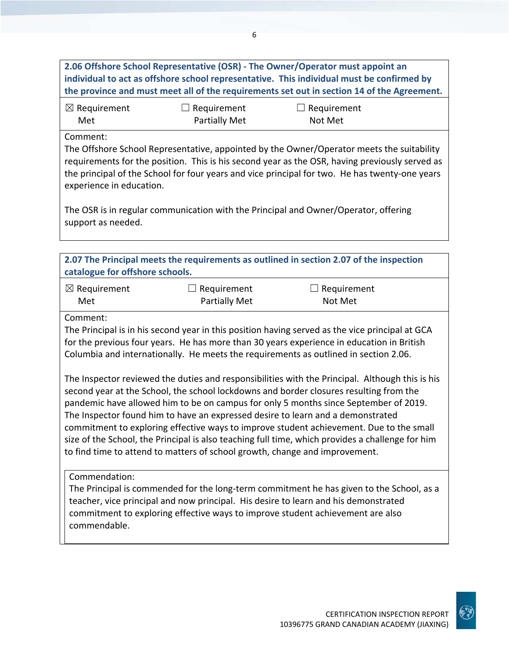**2.06 Offshore School Representative (OSR) ‐ The Owner/Operator must appoint an individual to act as offshore school representative. This individual must be confirmed by the province and must meet all of the requirements set out in section 14 of the Agreement.** ☒ Requirement Met ☐ Requirement Partially Met  $\Box$  Requirement Not Met Comment: The Offshore School Representative, appointed by the Owner/Operator meets the suitability requirements for the position. This is his second year as the OSR, having previously served as the principal of the School for four years and vice principal for two. He has twenty‐one years experience in education. The OSR is in regular communication with the Principal and Owner/Operator, offering support as needed. **2.07 The Principal meets the requirements as outlined in section 2.07 of the inspection catalogue for offshore schools.** ☒ Requirement Met  $\Box$  Requirement Partially Met ☐ Requirement Not Met Comment: The Principal is in his second year in this position having served as the vice principal at GCA for the previous four years. He has more than 30 years experience in education in British Columbia and internationally. He meets the requirements as outlined in section 2.06. The Inspector reviewed the duties and responsibilities with the Principal. Although this is his second year at the School, the school lockdowns and border closures resulting from the pandemic have allowed him to be on campus for only 5 months since September of 2019. The Inspector found him to have an expressed desire to learn and a demonstrated commitment to exploring effective ways to improve student achievement. Due to the small size of the School, the Principal is also teaching full time, which provides a challenge for him to find time to attend to matters of school growth, change and improvement. Commendation: The Principal is commended for the long-term commitment he has given to the School, as a teacher, vice principal and now principal. His desire to learn and his demonstrated commitment to exploring effective ways to improve student achievement are also commendable.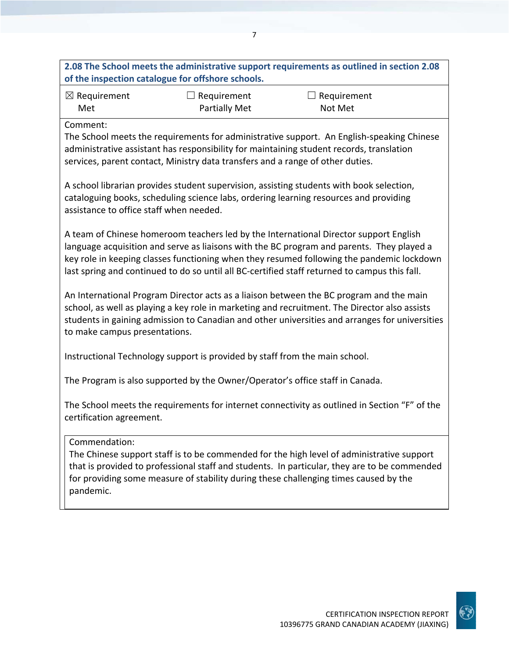## **2.08 The School meets the administrative support requirements as outlined in section 2.08 of the inspection catalogue for offshore schools.**

| $\boxtimes$ Requirement | $\Box$ Requirement   | $\Box$ Requirement |
|-------------------------|----------------------|--------------------|
| Met                     | <b>Partially Met</b> | Not Met            |

#### Comment:

The School meets the requirements for administrative support. An English‐speaking Chinese administrative assistant has responsibility for maintaining student records, translation services, parent contact, Ministry data transfers and a range of other duties.

A school librarian provides student supervision, assisting students with book selection, cataloguing books, scheduling science labs, ordering learning resources and providing assistance to office staff when needed.

A team of Chinese homeroom teachers led by the International Director support English language acquisition and serve as liaisons with the BC program and parents. They played a key role in keeping classes functioning when they resumed following the pandemic lockdown last spring and continued to do so until all BC‐certified staff returned to campus this fall.

An International Program Director acts as a liaison between the BC program and the main school, as well as playing a key role in marketing and recruitment. The Director also assists students in gaining admission to Canadian and other universities and arranges for universities to make campus presentations.

Instructional Technology support is provided by staff from the main school.

The Program is also supported by the Owner/Operator's office staff in Canada.

The School meets the requirements for internet connectivity as outlined in Section "F" of the certification agreement.

#### Commendation:

The Chinese support staff is to be commended for the high level of administrative support that is provided to professional staff and students. In particular, they are to be commended for providing some measure of stability during these challenging times caused by the pandemic.

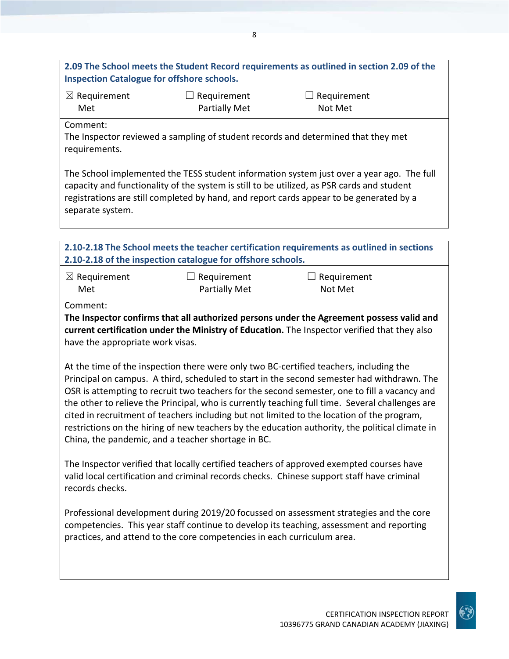## **2.09 The School meets the Student Record requirements as outlined in section 2.09 of the Inspection Catalogue for offshore schools.**

| $\boxtimes$ Requirement | $\Box$ Requirement | $\Box$ Requirement |
|-------------------------|--------------------|--------------------|
| Met                     | Partially Met      | Not Met            |

Comment:

The Inspector reviewed a sampling of student records and determined that they met requirements.

The School implemented the TESS student information system just over a year ago. The full capacity and functionality of the system is still to be utilized, as PSR cards and student registrations are still completed by hand, and report cards appear to be generated by a separate system.

| 2.10-2.18 The School meets the teacher certification requirements as outlined in sections                     |                                                             |                                                                                              |  |
|---------------------------------------------------------------------------------------------------------------|-------------------------------------------------------------|----------------------------------------------------------------------------------------------|--|
|                                                                                                               | 2.10-2.18 of the inspection catalogue for offshore schools. |                                                                                              |  |
| $\boxtimes$ Requirement                                                                                       | Requirement                                                 | Requirement                                                                                  |  |
| Met                                                                                                           | <b>Partially Met</b>                                        | Not Met                                                                                      |  |
| Comment:                                                                                                      |                                                             |                                                                                              |  |
|                                                                                                               |                                                             | The Inspector confirms that all authorized persons under the Agreement possess valid and     |  |
|                                                                                                               |                                                             | current certification under the Ministry of Education. The Inspector verified that they also |  |
| have the appropriate work visas.                                                                              |                                                             |                                                                                              |  |
|                                                                                                               |                                                             |                                                                                              |  |
| At the time of the inspection there were only two BC-certified teachers, including the                        |                                                             |                                                                                              |  |
| Principal on campus. A third, scheduled to start in the second semester had withdrawn. The                    |                                                             |                                                                                              |  |
|                                                                                                               |                                                             | OSR is attempting to recruit two teachers for the second semester, one to fill a vacancy and |  |
| the other to relieve the Principal, who is currently teaching full time. Several challenges are               |                                                             |                                                                                              |  |
| cited in recruitment of teachers including but not limited to the location of the program,                    |                                                             |                                                                                              |  |
| restrictions on the hiring of new teachers by the education authority, the political climate in               |                                                             |                                                                                              |  |
|                                                                                                               | China, the pandemic, and a teacher shortage in BC.          |                                                                                              |  |
| The Inspector verified that locally certified teachers of approved exempted courses have                      |                                                             |                                                                                              |  |
|                                                                                                               |                                                             |                                                                                              |  |
| valid local certification and criminal records checks. Chinese support staff have criminal<br>records checks. |                                                             |                                                                                              |  |
|                                                                                                               |                                                             |                                                                                              |  |
|                                                                                                               |                                                             |                                                                                              |  |

Professional development during 2019/20 focussed on assessment strategies and the core competencies. This year staff continue to develop its teaching, assessment and reporting practices, and attend to the core competencies in each curriculum area.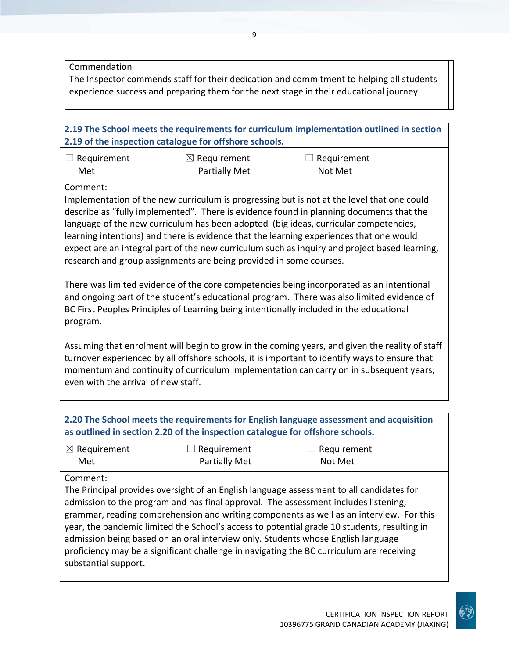Commendation

The Inspector commends staff for their dedication and commitment to helping all students experience success and preparing them for the next stage in their educational journey.

#### **2.19 The School meets the requirements for curriculum implementation outlined in section 2.19 of the inspection catalogue for offshore schools.**

| $\Box$ Requirement | $\boxtimes$ Requirement | $\Box$ Requirement |
|--------------------|-------------------------|--------------------|
| Met                | Partially Met           | Not Met            |

Comment:

Implementation of the new curriculum is progressing but is not at the level that one could describe as "fully implemented". There is evidence found in planning documents that the language of the new curriculum has been adopted (big ideas, curricular competencies, learning intentions) and there is evidence that the learning experiences that one would expect are an integral part of the new curriculum such as inquiry and project based learning, research and group assignments are being provided in some courses.

There was limited evidence of the core competencies being incorporated as an intentional and ongoing part of the student's educational program. There was also limited evidence of BC First Peoples Principles of Learning being intentionally included in the educational program.

Assuming that enrolment will begin to grow in the coming years, and given the reality of staff turnover experienced by all offshore schools, it is important to identify ways to ensure that momentum and continuity of curriculum implementation can carry on in subsequent years, even with the arrival of new staff.

| 2.20 The School meets the requirements for English language assessment and acquisition<br>as outlined in section 2.20 of the inspection catalogue for offshore schools. |                              |                                                                                                                                                                                                                                                                                                                                                                                                                                                                                                                                                           |  |
|-------------------------------------------------------------------------------------------------------------------------------------------------------------------------|------------------------------|-----------------------------------------------------------------------------------------------------------------------------------------------------------------------------------------------------------------------------------------------------------------------------------------------------------------------------------------------------------------------------------------------------------------------------------------------------------------------------------------------------------------------------------------------------------|--|
| $\boxtimes$ Requirement<br>Met                                                                                                                                          | Requirement<br>Partially Met | Requirement<br>Not Met                                                                                                                                                                                                                                                                                                                                                                                                                                                                                                                                    |  |
| Comment:<br>substantial support.                                                                                                                                        |                              | The Principal provides oversight of an English language assessment to all candidates for<br>admission to the program and has final approval. The assessment includes listening,<br>grammar, reading comprehension and writing components as well as an interview. For this<br>year, the pandemic limited the School's access to potential grade 10 students, resulting in<br>admission being based on an oral interview only. Students whose English language<br>proficiency may be a significant challenge in navigating the BC curriculum are receiving |  |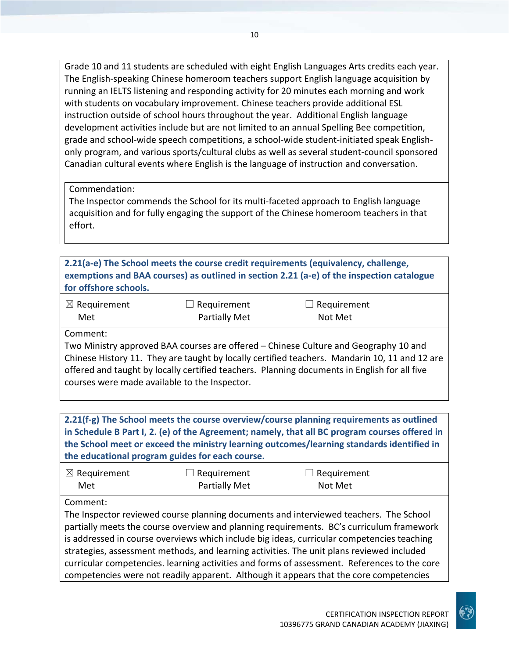Grade 10 and 11 students are scheduled with eight English Languages Arts credits each year. The English‐speaking Chinese homeroom teachers support English language acquisition by running an IELTS listening and responding activity for 20 minutes each morning and work with students on vocabulary improvement. Chinese teachers provide additional ESL instruction outside of school hours throughout the year. Additional English language development activities include but are not limited to an annual Spelling Bee competition, grade and school-wide speech competitions, a school-wide student-initiated speak Englishonly program, and various sports/cultural clubs as well as several student‐council sponsored Canadian cultural events where English is the language of instruction and conversation.

Commendation:

The Inspector commends the School for its multi-faceted approach to English language acquisition and for fully engaging the support of the Chinese homeroom teachers in that effort.

**2.21(a‐e) The School meets the course credit requirements (equivalency, challenge, exemptions and BAA courses) as outlined in section 2.21 (a‐e) of the inspection catalogue for offshore schools.**

| $\boxtimes$ Requirement | $\Box$ Requirement   | $\Box$ Requirement |
|-------------------------|----------------------|--------------------|
| Met                     | <b>Partially Met</b> | Not Met            |

Comment:

Two Ministry approved BAA courses are offered – Chinese Culture and Geography 10 and Chinese History 11. They are taught by locally certified teachers. Mandarin 10, 11 and 12 are offered and taught by locally certified teachers. Planning documents in English for all five courses were made available to the Inspector.

**2.21(f‐g) The School meets the course overview/course planning requirements as outlined in Schedule B Part I, 2. (e) of the Agreement; namely, that all BC program courses offered in the School meet or exceed the ministry learning outcomes/learning standards identified in the educational program guides for each course.**

| $\boxtimes$ Requirement | $\Box$ Requirement   | $\Box$ Requirement |
|-------------------------|----------------------|--------------------|
| Met                     | <b>Partially Met</b> | Not Met            |

Comment:

The Inspector reviewed course planning documents and interviewed teachers. The School partially meets the course overview and planning requirements. BC's curriculum framework is addressed in course overviews which include big ideas, curricular competencies teaching strategies, assessment methods, and learning activities. The unit plans reviewed included curricular competencies. learning activities and forms of assessment. References to the core competencies were not readily apparent. Although it appears that the core competencies

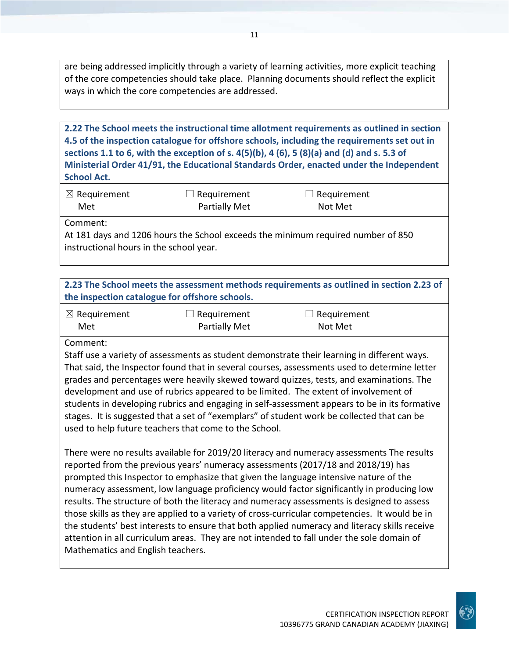are being addressed implicitly through a variety of learning activities, more explicit teaching of the core competencies should take place. Planning documents should reflect the explicit ways in which the core competencies are addressed.

**2.22 The School meets the instructional time allotment requirements as outlined in section 4.5 of the inspection catalogue for offshore schools, including the requirements set out in** sections 1.1 to 6, with the exception of s.  $4(5)(b)$ ,  $4(6)$ ,  $5(8)(a)$  and (d) and s. 5.3 of **Ministerial Order 41/91, the Educational Standards Order, enacted under the Independent School Act.**

| $\boxtimes$ Requirement | $\Box$ Requirement | $\Box$ Requirement |
|-------------------------|--------------------|--------------------|
| Met                     | Partially Met      | Not Met            |

Comment:

At 181 days and 1206 hours the School exceeds the minimum required number of 850 instructional hours in the school year.

| 2.23 The School meets the assessment methods requirements as outlined in section 2.23 of |  |
|------------------------------------------------------------------------------------------|--|
| the inspection catalogue for offshore schools.                                           |  |

| $\boxtimes$ Requirement | $\Box$ Requirement   | $\Box$ Requirement |
|-------------------------|----------------------|--------------------|
| Met                     | <b>Partially Met</b> | Not Met            |

Comment:

Staff use a variety of assessments as student demonstrate their learning in different ways. That said, the Inspector found that in several courses, assessments used to determine letter grades and percentages were heavily skewed toward quizzes, tests, and examinations. The development and use of rubrics appeared to be limited. The extent of involvement of students in developing rubrics and engaging in self‐assessment appears to be in its formative stages. It is suggested that a set of "exemplars" of student work be collected that can be used to help future teachers that come to the School.

There were no results available for 2019/20 literacy and numeracy assessments The results reported from the previous years' numeracy assessments (2017/18 and 2018/19) has prompted this Inspector to emphasize that given the language intensive nature of the numeracy assessment, low language proficiency would factor significantly in producing low results. The structure of both the literacy and numeracy assessments is designed to assess those skills as they are applied to a variety of cross‐curricular competencies. It would be in the students' best interests to ensure that both applied numeracy and literacy skills receive attention in all curriculum areas. They are not intended to fall under the sole domain of Mathematics and English teachers.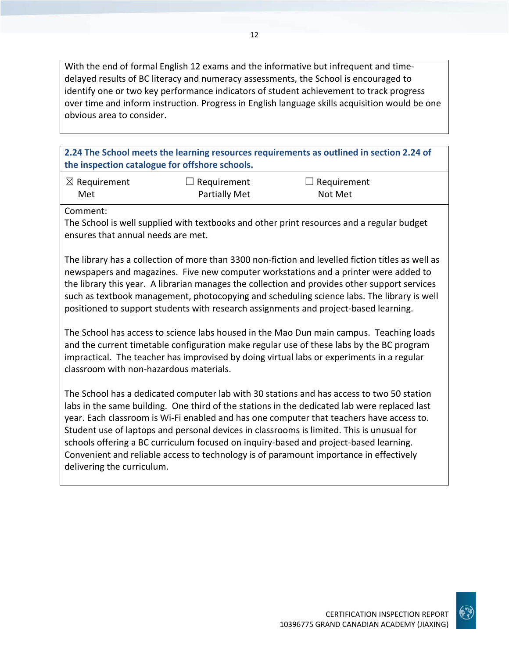With the end of formal English 12 exams and the informative but infrequent and time‐ delayed results of BC literacy and numeracy assessments, the School is encouraged to identify one or two key performance indicators of student achievement to track progress over time and inform instruction. Progress in English language skills acquisition would be one obvious area to consider.

**2.24 The School meets the learning resources requirements as outlined in section 2.24 of the inspection catalogue for offshore schools.**

| $\boxtimes$ Requirement | $\Box$ Requirement | $\Box$ Requirement |
|-------------------------|--------------------|--------------------|
| Met                     | Partially Met      | Not Met            |

Comment:

The School is well supplied with textbooks and other print resources and a regular budget ensures that annual needs are met.

The library has a collection of more than 3300 non‐fiction and levelled fiction titles as well as newspapers and magazines. Five new computer workstations and a printer were added to the library this year. A librarian manages the collection and provides other support services such as textbook management, photocopying and scheduling science labs. The library is well positioned to support students with research assignments and project‐based learning.

The School has access to science labs housed in the Mao Dun main campus. Teaching loads and the current timetable configuration make regular use of these labs by the BC program impractical. The teacher has improvised by doing virtual labs or experiments in a regular classroom with non‐hazardous materials.

The School has a dedicated computer lab with 30 stations and has access to two 50 station labs in the same building. One third of the stations in the dedicated lab were replaced last year. Each classroom is Wi‐Fi enabled and has one computer that teachers have access to. Student use of laptops and personal devices in classrooms is limited. This is unusual for schools offering a BC curriculum focused on inquiry‐based and project‐based learning. Convenient and reliable access to technology is of paramount importance in effectively delivering the curriculum.

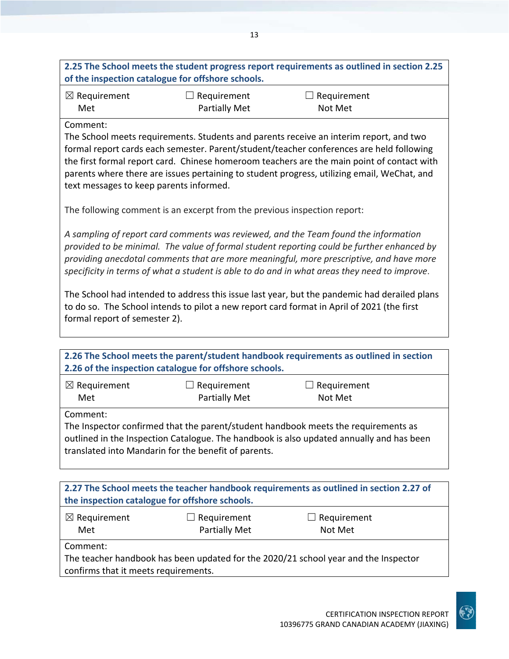| 2.25 The School meets the student progress report requirements as outlined in section 2.25<br>of the inspection catalogue for offshore schools.                                           |                      |                    |  |
|-------------------------------------------------------------------------------------------------------------------------------------------------------------------------------------------|----------------------|--------------------|--|
| $\boxtimes$ Requirement                                                                                                                                                                   | $\Box$ Requirement   | $\Box$ Requirement |  |
| Met                                                                                                                                                                                       | <b>Partially Met</b> | Not Met            |  |
| Comment:                                                                                                                                                                                  |                      |                    |  |
| The School meets requirements. Students and parents receive an interim report, and two                                                                                                    |                      |                    |  |
| formal report cards each semester. Parent/student/teacher conferences are held following                                                                                                  |                      |                    |  |
| the first formal report card. Chinese homeroom teachers are the main point of contact with<br>parents where there are issues pertaining to student progress, utilizing email, WeChat, and |                      |                    |  |

The following comment is an excerpt from the previous inspection report:

text messages to keep parents informed.

*A sampling of report card comments was reviewed, and the Team found the information provided to be minimal. The value of formal student reporting could be further enhanced by providing anecdotal comments that are more meaningful, more prescriptive, and have more* specificity in terms of what a student is able to do and in what areas they need to improve.

The School had intended to address this issue last year, but the pandemic had derailed plans to do so. The School intends to pilot a new report card format in April of 2021 (the first formal report of semester 2).

| 2.26 The School meets the parent/student handbook requirements as outlined in section<br>2.26 of the inspection catalogue for offshore schools.                                                                                                    |                              |                        |  |  |
|----------------------------------------------------------------------------------------------------------------------------------------------------------------------------------------------------------------------------------------------------|------------------------------|------------------------|--|--|
| $\boxtimes$ Requirement<br>Met                                                                                                                                                                                                                     | Requirement<br>Partially Met | Requirement<br>Not Met |  |  |
| Comment:<br>The Inspector confirmed that the parent/student handbook meets the requirements as<br>outlined in the Inspection Catalogue. The handbook is also updated annually and has been<br>translated into Mandarin for the benefit of parents. |                              |                        |  |  |
| 2.27 The School meets the teacher handbook requirements as outlined in section 2.27 of<br>the inspection catalogue for offshore schools.                                                                                                           |                              |                        |  |  |

| the inspection catalogue for offshore schools. |                                            |                               |  |
|------------------------------------------------|--------------------------------------------|-------------------------------|--|
| $\boxtimes$ Requirement<br>Met                 | $\Box$ Requirement<br><b>Partially Met</b> | $\Box$ Requirement<br>Not Met |  |
| Comment:                                       |                                            |                               |  |

The teacher handbook has been updated for the 2020/21 school year and the Inspector confirms that it meets requirements.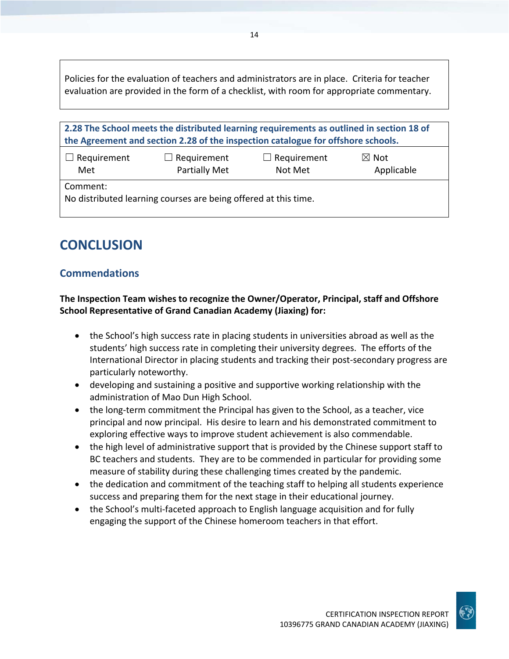Policies for the evaluation of teachers and administrators are in place. Criteria for teacher evaluation are provided in the form of a checklist, with room for appropriate commentary.

14

| 2.28 The School meets the distributed learning requirements as outlined in section 18 of<br>the Agreement and section 2.28 of the inspection catalogue for offshore schools. |                                     |                               |                               |  |
|------------------------------------------------------------------------------------------------------------------------------------------------------------------------------|-------------------------------------|-------------------------------|-------------------------------|--|
| $\Box$ Requirement<br>Met                                                                                                                                                    | $\Box$ Requirement<br>Partially Met | $\Box$ Requirement<br>Not Met | $\boxtimes$ Not<br>Applicable |  |
| Comment:<br>No distributed learning courses are being offered at this time.                                                                                                  |                                     |                               |                               |  |

## **CONCLUSION**

## **Commendations**

**The Inspection Team wishes to recognize the Owner/Operator, Principal, staff and Offshore School Representative of Grand Canadian Academy (Jiaxing) for:**

- the School's high success rate in placing students in universities abroad as well as the students' high success rate in completing their university degrees. The efforts of the International Director in placing students and tracking their post‐secondary progress are particularly noteworthy.
- developing and sustaining a positive and supportive working relationship with the administration of Mao Dun High School.
- the long-term commitment the Principal has given to the School, as a teacher, vice principal and now principal. His desire to learn and his demonstrated commitment to exploring effective ways to improve student achievement is also commendable.
- the high level of administrative support that is provided by the Chinese support staff to BC teachers and students. They are to be commended in particular for providing some measure of stability during these challenging times created by the pandemic.
- the dedication and commitment of the teaching staff to helping all students experience success and preparing them for the next stage in their educational journey.
- the School's multi-faceted approach to English language acquisition and for fully engaging the support of the Chinese homeroom teachers in that effort.